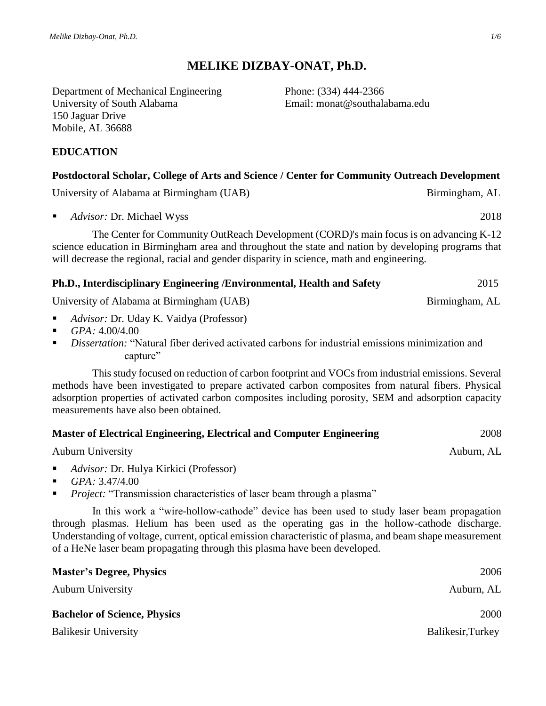# **MELIKE DIZBAY-ONAT, Ph.D.**

Department of Mechanical Engineering Phone: (334) 444-2366 University of South Alabama Email: monat@southalabama.edu 150 Jaguar Drive Mobile, AL 36688

## **EDUCATION**

## **Postdoctoral Scholar, College of Arts and Science / Center for Community Outreach Development**

[University of Alabama at Birmingham \(UAB\)](http://www.uab.edu/) Birmingham, AL

*Advisor:* Dr. Michael Wyss 2018

The Center for Community OutReach Development (CORD*)*'s main focus is on advancing K-12 science education in Birmingham area and throughout the state and nation by developing programs that will decrease the regional, racial and gender disparity in science, math and engineering.

#### **Ph.D., Interdisciplinary Engineering /Environmental, Health and Safety** 2015

University of Alabama at Birmingham (UAB) Birmingham, AL

- *Advisor:* Dr. Uday K. Vaidya (Professor)
- $\blacksquare$  *GPA*: 4.00/4.00
- *Dissertation:* "Natural fiber derived activated carbons for industrial emissions minimization and capture"

This study focused on reduction of carbon footprint and VOCs from industrial emissions. Several methods have been investigated to prepare activated carbon composites from natural fibers. Physical adsorption properties of activated carbon composites including porosity, SEM and adsorption capacity measurements have also been obtained.

| <b>Master of Electrical Engineering, Electrical and Computer Engineering</b> | 2008 |
|------------------------------------------------------------------------------|------|
|                                                                              |      |

[Auburn University](http://www.eng.auburn.edu/elec/) Auburn, AL

- *Advisor:* Dr. Hulya Kirkici (Professor)
- *GPA:* 3.47/4.00
- **Project:** "Transmission characteristics of laser beam through a plasma"

In this work a "wire-hollow-cathode" device has been used to study laser beam propagation through plasmas. Helium has been used as the operating gas in the hollow-cathode discharge. Understanding of voltage, current, optical emission characteristic of plasma, and beam shape measurement of a HeNe laser beam propagating through this plasma have been developed.

| <b>Master's Degree, Physics</b>     | 2006              |
|-------------------------------------|-------------------|
| <b>Auburn University</b>            | Auburn, AL        |
| <b>Bachelor of Science, Physics</b> | <b>2000</b>       |
| <b>Balikesir University</b>         | Balikesir, Turkey |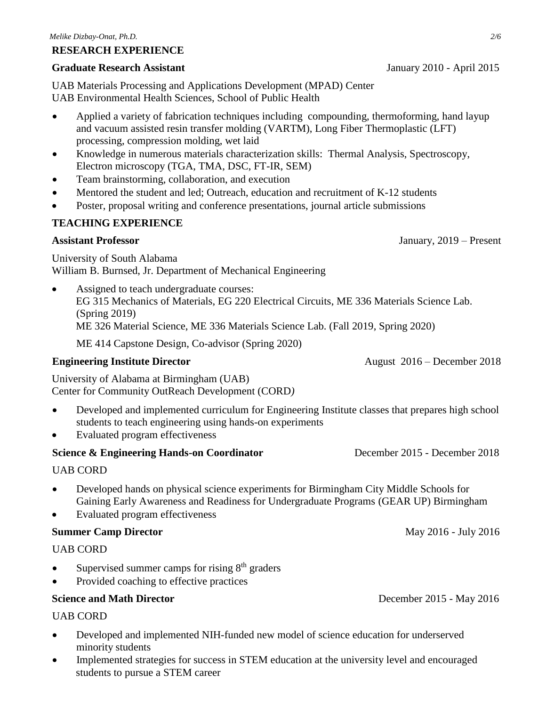#### **RESEARCH EXPERIENCE**

#### **Graduate Research Assistant** January 2010 - April 2015

UAB Materials Processing and Applications Development (MPAD) Center UAB Environmental Health Sciences, School of Public Health

- Applied a variety of fabrication techniques including compounding, thermoforming, hand layup and vacuum assisted resin transfer molding (VARTM), Long Fiber Thermoplastic (LFT) processing, compression molding, wet laid
- Knowledge in numerous materials characterization skills: Thermal Analysis, Spectroscopy, Electron microscopy (TGA, TMA, DSC, FT-IR, SEM)
- Team brainstorming, collaboration, and execution
- Mentored the student and led; Outreach, education and recruitment of K-12 students
- Poster, proposal writing and conference presentations, journal article submissions

## **TEACHING EXPERIENCE**

#### **Assistant Professor** January, 2019 – Present

University of South Alabama William B. Burnsed, Jr. Department of Mechanical Engineering

• Assigned to teach undergraduate courses: EG 315 Mechanics of Materials, EG 220 Electrical Circuits, ME 336 Materials Science Lab. (Spring 2019) ME 326 Material Science, ME 336 Materials Science Lab. (Fall 2019, Spring 2020)

ME 414 Capstone Design, Co-advisor (Spring 2020)

#### **Engineering Institute Director August 2016 – December 2018**

University of Alabama at Birmingham (UAB) Center for Community OutReach Development (CORD*)* 

- Developed and implemented curriculum for Engineering Institute classes that prepares high school students to teach engineering using hands-on experiments
- Evaluated program effectiveness

#### **Science & Engineering Hands-on Coordinator** December 2015 - December 2018

#### UAB CORD

- Developed hands on physical science experiments for Birmingham City Middle Schools for Gaining Early Awareness and Readiness for Undergraduate Programs (GEAR UP) Birmingham
- Evaluated program effectiveness

#### **Summer Camp Director May 2016 - July 2016**

#### UAB CORD

- $\bullet$  Supervised summer camps for rising  $8<sup>th</sup>$  graders
- Provided coaching to effective practices

### **Science and Math Director December 2015 - May 2016**

# UAB CORD

- Developed and implemented NIH-funded new model of science education for underserved minority students
- Implemented strategies for success in STEM education at the university level and encouraged students to pursue a STEM career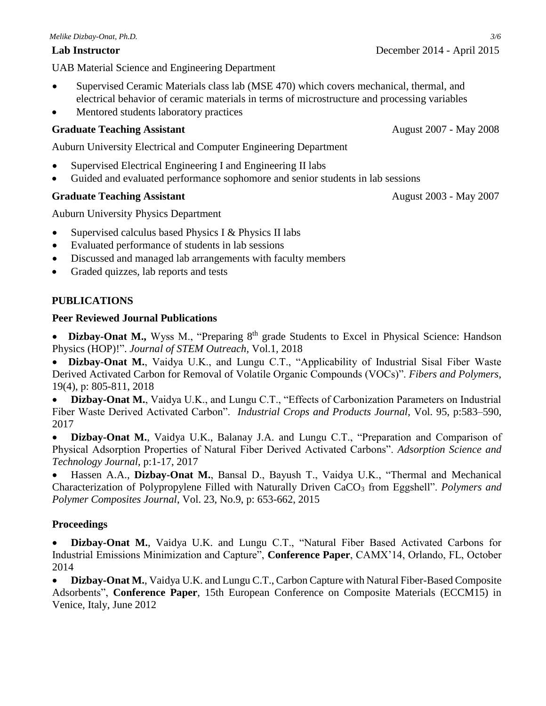UAB Material Science and Engineering Department

- Supervised Ceramic Materials class lab (MSE 470) which covers mechanical, thermal, and electrical behavior of ceramic materials in terms of microstructure and processing variables
- Mentored students laboratory practices

## **Graduate Teaching Assistant** August 2007 - May 2008

Auburn University [Electrical and Computer Engineering Department](http://www.eng.auburn.edu/elec/)

- Supervised Electrical Engineering I and Engineering II labs
- Guided and evaluated performance sophomore and senior students in lab sessions

## **Graduate Teaching Assistant August 2003** - May 2007

Auburn University [Physics Department](http://www.auburn.edu/cosam/departments/physics/)

- Supervised calculus based Physics I & Physics II labs
- Evaluated performance of students in lab sessions
- Discussed and managed lab arrangements with faculty members
- Graded quizzes, lab reports and tests

## **PUBLICATIONS**

#### **Peer Reviewed Journal Publications**

• Dizbay-Onat M., Wyss M., "Preparing 8<sup>th</sup> grade Students to Excel in Physical Science: Handson Physics (HOP)!". *Journal of STEM Outreach,* Vol.1*,* 2018

 **Dizbay-Onat M.**, Vaidya U.K., and Lungu C.T., "Applicability of Industrial Sisal Fiber Waste Derived Activated Carbon for Removal of Volatile Organic Compounds (VOCs)". *Fibers and Polymers*, 19(4), p: 805-811, 2018

 **Dizbay-Onat M.**, Vaidya U.K., and Lungu C.T., "Effects of Carbonization Parameters on Industrial Fiber Waste Derived Activated Carbon". *Industrial Crops and Products Journal*, Vol. 95, p:583–590, 2017

 **Dizbay-Onat M.**, Vaidya U.K., Balanay J.A. and Lungu C.T., "Preparation and Comparison of Physical Adsorption Properties of Natural Fiber Derived Activated Carbons". *Adsorption Science and Technology Journal*, p:1-17, 2017

 Hassen A.A., **Dizbay-Onat M.**, Bansal D., Bayush T., Vaidya U.K., "Thermal and Mechanical Characterization of Polypropylene Filled with Naturally Driven CaCO<sub>3</sub> from Eggshell". *Polymers and Polymer Composites Journal*, Vol. 23, No.9, p: 653-662, 2015

# **Proceedings**

 **Dizbay-Onat M.**, Vaidya U.K. and Lungu C.T., "Natural Fiber Based Activated Carbons for Industrial Emissions Minimization and Capture", **Conference Paper**, CAMX'14, Orlando, FL, October 2014

 **Dizbay-Onat M.**, Vaidya U.K. and Lungu C.T., Carbon Capture with Natural Fiber-Based Composite Adsorbents", **Conference Paper**, 15th European Conference on Composite Materials (ECCM15) in Venice, Italy, June 2012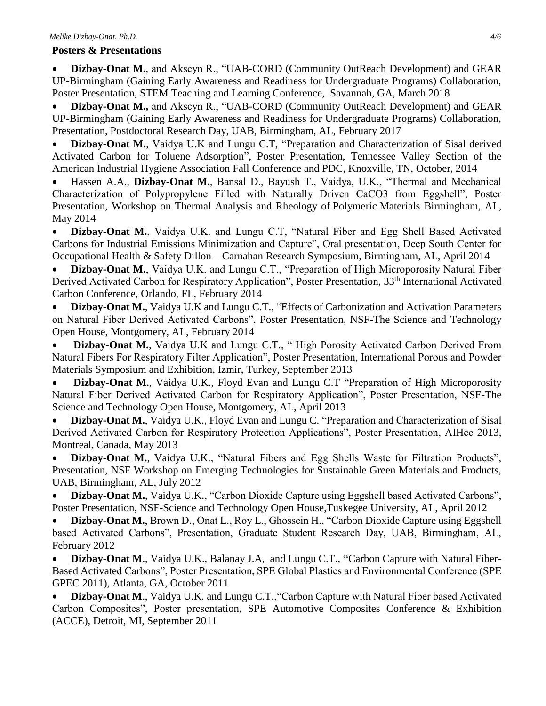### **Posters & Presentations**

 **Dizbay-Onat M.**, and Akscyn R., "UAB-CORD (Community OutReach Development) and GEAR UP-Birmingham (Gaining Early Awareness and Readiness for Undergraduate Programs) Collaboration, Poster Presentation, STEM Teaching and Learning Conference, Savannah, GA, March 2018

 **Dizbay-Onat M.,** and Akscyn R., "UAB-CORD (Community OutReach Development) and GEAR UP-Birmingham (Gaining Early Awareness and Readiness for Undergraduate Programs) Collaboration, Presentation, Postdoctoral Research Day, UAB, Birmingham, AL, February 2017

 **Dizbay-Onat M.**, Vaidya U.K and Lungu C.T, "Preparation and Characterization of Sisal derived Activated Carbon for Toluene Adsorption", Poster Presentation, Tennessee Valley Section of the American Industrial Hygiene Association Fall Conference and PDC, Knoxville, TN, October, 2014

 Hassen A.A., **Dizbay-Onat M.**, Bansal D., Bayush T., Vaidya, U.K., "Thermal and Mechanical Characterization of Polypropylene Filled with Naturally Driven CaCO3 from Eggshell", Poster Presentation, Workshop on Thermal Analysis and Rheology of Polymeric Materials Birmingham, AL, May 2014

 **Dizbay-Onat M.**, Vaidya U.K. and Lungu C.T, "Natural Fiber and Egg Shell Based Activated Carbons for Industrial Emissions Minimization and Capture", Oral presentation, Deep South Center for Occupational Health & Safety Dillon – Carnahan Research Symposium, Birmingham, AL, April 2014

 **Dizbay-Onat M.**, Vaidya U.K. and Lungu C.T., "Preparation of High Microporosity Natural Fiber Derived Activated Carbon for Respiratory Application", Poster Presentation, 33<sup>th</sup> International Activated Carbon Conference, Orlando, FL, February 2014

 **Dizbay-Onat M.**, Vaidya U.K and Lungu C.T., "Effects of Carbonization and Activation Parameters on Natural Fiber Derived Activated Carbons", Poster Presentation, NSF-The Science and Technology Open House, Montgomery, AL, February 2014

 **Dizbay-Onat M.**, Vaidya U.K and Lungu C.T., " High Porosity Activated Carbon Derived From Natural Fibers For Respiratory Filter Application", Poster Presentation, International Porous and Powder Materials Symposium and Exhibition, Izmir, Turkey, September 2013

 **Dizbay-Onat M.**, Vaidya U.K., Floyd Evan and Lungu C.T "Preparation of High Microporosity Natural Fiber Derived Activated Carbon for Respiratory Application", Poster Presentation, NSF-The Science and Technology Open House, Montgomery, AL, April 2013

• Dizbay-Onat M., Vaidya U.K., Floyd Evan and Lungu C. "Preparation and Characterization of Sisal Derived Activated Carbon for Respiratory Protection Applications", Poster Presentation, AIHce 2013, Montreal, Canada, May 2013

 **Dizbay-Onat M.**, Vaidya U.K., "Natural Fibers and Egg Shells Waste for Filtration Products", Presentation, NSF Workshop on Emerging Technologies for Sustainable Green Materials and Products, UAB, Birmingham, AL, July 2012

 **Dizbay-Onat M.**, Vaidya U.K., "Carbon Dioxide Capture using Eggshell based Activated Carbons", Poster Presentation, NSF-Science and Technology Open House,Tuskegee University, AL, April 2012

 **Dizbay-Onat M.**, Brown D., Onat L., Roy L., Ghossein H., "Carbon Dioxide Capture using Eggshell based Activated Carbons", Presentation, Graduate Student Research Day, UAB, Birmingham, AL, February 2012

 **Dizbay-Onat M**., Vaidya U.K., Balanay J.A, and Lungu C.T., **"**Carbon Capture with Natural Fiber-Based Activated Carbons", Poster Presentation, SPE Global Plastics and Environmental Conference (SPE GPEC 2011), Atlanta, GA, October 2011

 **Dizbay-Onat M**., Vaidya U.K. and Lungu C.T.,"Carbon Capture with Natural Fiber based Activated Carbon Composites", Poster presentation, SPE Automotive Composites Conference & Exhibition (ACCE), Detroit, MI, September 2011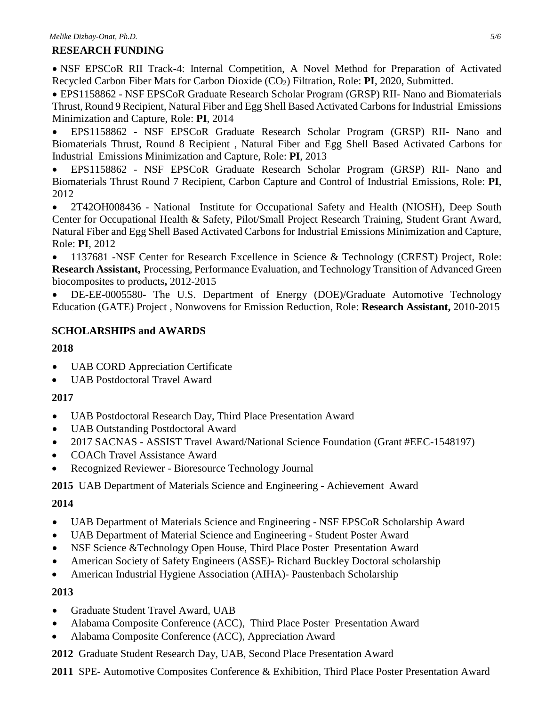## **RESEARCH FUNDING**

 NSF EPSCoR RII Track-4: Internal Competition, A Novel Method for Preparation of Activated Recycled Carbon Fiber Mats for Carbon Dioxide (CO2) Filtration, Role: **PI**, 2020, Submitted.

 EPS1158862 - NSF EPSCoR Graduate Research Scholar Program (GRSP) RII- Nano and Biomaterials Thrust, Round 9 Recipient, Natural Fiber and Egg Shell Based Activated Carbons for Industrial Emissions Minimization and Capture, Role: **PI**, 2014

 EPS1158862 - NSF EPSCoR Graduate Research Scholar Program (GRSP) RII- Nano and Biomaterials Thrust, Round 8 Recipient , Natural Fiber and Egg Shell Based Activated Carbons for Industrial Emissions Minimization and Capture, Role: **PI**, 2013

 EPS1158862 - NSF EPSCoR Graduate Research Scholar Program (GRSP) RII- Nano and Biomaterials Thrust Round 7 Recipient, Carbon Capture and Control of Industrial Emissions, Role: **PI**, 2012

 2T42OH008436 - National Institute for Occupational Safety and Health (NIOSH), Deep South Center for Occupational Health & Safety, Pilot/Small Project Research Training, Student Grant Award, Natural Fiber and Egg Shell Based Activated Carbons for Industrial Emissions Minimization and Capture, Role: **PI**, 2012

• 1137681 -NSF Center for Research Excellence in Science & Technology (CREST) Project, Role: **Research Assistant,** Processing, Performance Evaluation, and Technology Transition of Advanced Green biocomposites to products**,** 2012-2015

 DE-EE-0005580- The U.S. Department of Energy (DOE)/Graduate Automotive Technology Education (GATE) Project , Nonwovens for Emission Reduction, Role: **Research Assistant,** 2010-2015

# **SCHOLARSHIPS and AWARDS**

# **2018**

- UAB CORD Appreciation Certificate
- UAB Postdoctoral Travel Award

# **2017**

- UAB Postdoctoral Research Day, Third Place Presentation Award
- UAB Outstanding Postdoctoral Award
- 2017 SACNAS ASSIST Travel Award/National Science Foundation (Grant #EEC-1548197)
- COACh Travel Assistance Award
- Recognized Reviewer Bioresource Technology Journal

**2015** UAB Department of Materials Science and Engineering - Achievement Award

# **2014**

- UAB Department of Materials Science and Engineering NSF EPSCoR Scholarship Award
- UAB Department of Material Science and Engineering Student Poster Award
- NSF Science &Technology Open House, Third Place Poster Presentation Award
- American Society of Safety Engineers (ASSE)- Richard Buckley Doctoral scholarship
- American Industrial Hygiene Association (AIHA)- Paustenbach Scholarship

# **2013**

- Graduate Student Travel Award, UAB
- Alabama Composite Conference (ACC), Third Place Poster Presentation Award
- Alabama Composite Conference (ACC), Appreciation Award
- **2012** Graduate Student Research Day, UAB, Second Place Presentation Award
- **2011** SPE- Automotive Composites Conference & Exhibition, Third Place Poster Presentation Award